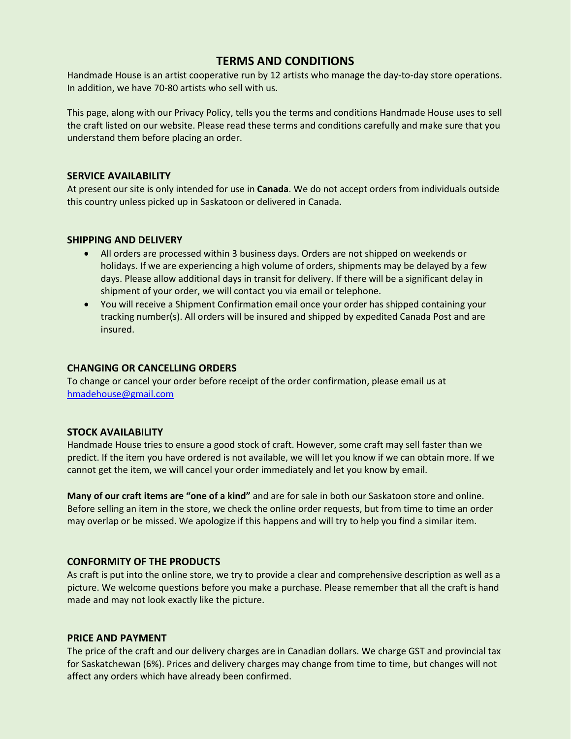# **TERMS AND CONDITIONS**

Handmade House is an artist cooperative run by 12 artists who manage the day-to-day store operations. In addition, we have 70-80 artists who sell with us.

This page, along with our Privacy Policy, tells you the terms and conditions Handmade House uses to sell the craft listed on our website. Please read these terms and conditions carefully and make sure that you understand them before placing an order.

#### **SERVICE AVAILABILITY**

At present our site is only intended for use in **Canada**. We do not accept orders from individuals outside this country unless picked up in Saskatoon or delivered in Canada.

#### **SHIPPING AND DELIVERY**

- All orders are processed within 3 business days. Orders are not shipped on weekends or holidays. If we are experiencing a high volume of orders, shipments may be delayed by a few days. Please allow additional days in transit for delivery. If there will be a significant delay in shipment of your order, we will contact you via email or telephone.
- You will receive a Shipment Confirmation email once your order has shipped containing your tracking number(s). All orders will be insured and shipped by expedited Canada Post and are insured.

#### **CHANGING OR CANCELLING ORDERS**

To change or cancel your order before receipt of the order confirmation, please email us at [hmadehouse@gmail.com](mailto:hmadehouse@gmail.com) 

## **STOCK AVAILABILITY**

Handmade House tries to ensure a good stock of craft. However, some craft may sell faster than we predict. If the item you have ordered is not available, we will let you know if we can obtain more. If we cannot get the item, we will cancel your order immediately and let you know by email.

**Many of our craft items are "one of a kind"** and are for sale in both our Saskatoon store and online. Before selling an item in the store, we check the online order requests, but from time to time an order may overlap or be missed. We apologize if this happens and will try to help you find a similar item.

#### **CONFORMITY OF THE PRODUCTS**

As craft is put into the online store, we try to provide a clear and comprehensive description as well as a picture. We welcome questions before you make a purchase. Please remember that all the craft is hand made and may not look exactly like the picture.

#### **PRICE AND PAYMENT**

The price of the craft and our delivery charges are in Canadian dollars. We charge GST and provincial tax for Saskatchewan (6%). Prices and delivery charges may change from time to time, but changes will not affect any orders which have already been confirmed.